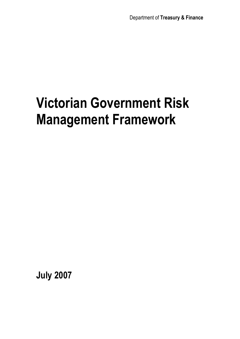# **Victorian Government Risk Management Framework**

**July 2007**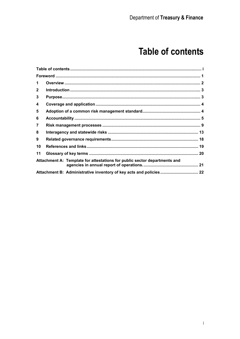# **Table of contents**

| $\mathbf 1$    |                                                                           |  |
|----------------|---------------------------------------------------------------------------|--|
| $\mathbf{2}$   |                                                                           |  |
| 3              |                                                                           |  |
| 4              |                                                                           |  |
| 5              |                                                                           |  |
| 6              |                                                                           |  |
| $\overline{7}$ |                                                                           |  |
| 8              |                                                                           |  |
| 9              |                                                                           |  |
| 10             |                                                                           |  |
| 11             |                                                                           |  |
|                | Attachment A: Template for attestations for public sector departments and |  |
|                |                                                                           |  |
|                |                                                                           |  |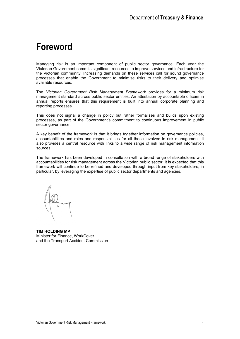### **Foreword**

Managing risk is an important component of public sector governance. Each year the Victorian Government commits significant resources to improve services and infrastructure for the Victorian community. Increasing demands on these services call for sound governance processes that enable the Government to minimise risks to their delivery and optimise available resources.

The *Victorian Government Risk Management Framework* provides for a minimum risk management standard across public sector entities. An attestation by accountable officers in annual reports ensures that this requirement is built into annual corporate planning and reporting processes.

This does not signal a change in policy but rather formalises and builds upon existing processes, as part of the Government's commitment to continuous improvement in public sector governance.

A key benefit of the framework is that it brings together information on governance policies, accountabilities and roles and responsibilities for all those involved in risk management. It also provides a central resource with links to a wide range of risk management information sources.

The framework has been developed in consultation with a broad range of stakeholders with accountabilities for risk management across the Victorian public sector. It is expected that this framework will continue to be refined and developed through input from key stakeholders, in particular, by leveraging the expertise of public sector departments and agencies.

**TIM HOLDING MP**  Minister for Finance, WorkCover and the Transport Accident Commission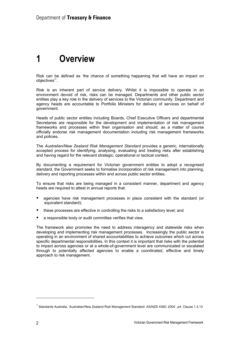# **1 Overview**

Risk can be defined as 'the chance of something happening that will have an impact on objectives'1 .

Risk is an inherent part of service delivery. Whilst it is impossible to operate in an environment devoid of risk, risks can be managed. Departments and other public sector entities play a key role in the delivery of services to the Victorian community. Department and agency heads are accountable to Portfolio Ministers for delivery of services on behalf of government.

Heads of public sector entities including Boards, Chief Executive Officers and departmental Secretaries are responsible for the development and implementation of risk management frameworks and processes within their organisation and should, as a matter of course officially endorse risk management documentation including risk management frameworks and policies.

The *Australian/New Zealand Risk Management Standard* provides a generic, internationally accepted process for identifying, analysing, evaluating and treating risks after establishing and having regard for the relevant strategic, operational or tactical context.

By documenting a requirement for Victorian government entities to adopt a recognised standard, the Government seeks to formalise incorporation of risk management into planning, delivery and reporting processes within and across public sector entities.

To ensure that risks are being managed in a consistent manner, department and agency heads are required to attest in annual reports that:

- agencies have risk management processes in place consistent with the standard (or equivalent standard);
- these processes are effective in controlling the risks to a satisfactory level; and
- a responsible body or audit committee verifies that view.

The framework also promotes the need to address interagency and statewide risks when developing and implementing risk management processes. Increasingly the public sector is operating in an environment of shared accountabilities to achieve outcomes which cut across specific departmental responsibilities. In this context it is important that risks with the potential to impact across agencies or at a whole-of-government level are communicated or escalated through to potentially affected agencies to enable a coordinated, effective and timely approach to risk management.

<sup>&</sup>lt;sup>1</sup> Standards Australia, 'Australian/New Zealand Risk Management Standard: AS/NZS 4360: 2004', p4, Clause 1.3.13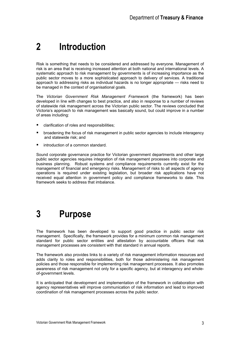# **2 Introduction**

Risk is something that needs to be considered and addressed by everyone. Management of risk is an area that is receiving increased attention at both national and international levels. A systematic approach to risk management by governments is of increasing importance as the public sector moves to a more sophisticated approach to delivery of services. A traditional approach to addressing risks as individual hazards is no longer appropriate — risks need to be managed in the context of organisational goals.

The *Victorian Government Risk Management Framework* (the framework) has been developed in line with changes to best practice, and also in response to a number of reviews of statewide risk management across the Victorian public sector. The reviews concluded that Victoria's approach to risk management was basically sound, but could improve in a number of areas including:

- clarification of roles and responsibilities;
- **•** broadening the focus of risk management in public sector agencies to include interagency and statewide risk; and
- introduction of a common standard.

Sound corporate governance practice for Victorian government departments and other large public sector agencies requires integration of risk management processes into corporate and business planning. Robust systems and compliance requirements currently exist for the management of financial and emergency risks. Management of risks to all aspects of agency operations is required under existing legislation, but broader risk applications have not received equal attention in government policy and compliance frameworks to date. This framework seeks to address that imbalance.

### **3 Purpose**

The framework has been developed to support good practice in public sector risk management. Specifically, the framework provides for a minimum common risk management standard for public sector entities and attestation by accountable officers that risk management processes are consistent with that standard in annual reports.

The framework also provides links to a variety of risk management information resources and adds clarity to roles and responsibilities, both for those administering risk management policies and those responsible for implementing risk management processes. It also promotes awareness of risk management not only for a specific agency, but at interagency and wholeof-government levels.

It is anticipated that development and implementation of the framework in collaboration with agency representatives will improve communication of risk information and lead to improved coordination of risk management processes across the public sector.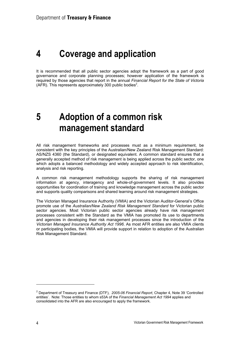### **4 Coverage and application**

It is recommended that all public sector agencies adopt the framework as a part of good governance and corporate planning processes; however application of the framework is required by those agencies that report in the annual *Financial Report for the State of Victoria*  $(AFR)$ . This represents approximately 300 public bodies<sup>2</sup>.

## **5 Adoption of a common risk management standard**

All risk management frameworks and processes must as a minimum requirement, be consistent with the key principles of the Australian/New Zealand Risk Management Standard: AS/NZS 4360 (the Standard), or designated equivalent. A common standard ensures that a generally accepted method of risk management is being applied across the public sector, one which adopts a balanced methodology and widely accepted approach to risk identification, analysis and risk reporting.

A common risk management methodology supports the sharing of risk management information at agency, interagency and whole-of-government levels. It also provides opportunities for coordination of training and knowledge management across the public sector and supports quality comparisons and shared learning around risk management strategies.

The Victorian Managed Insurance Authority (VMIA) and the Victorian Auditor-General's Office promote use of the *Australian/New Zealand Risk Management Standard* for Victorian public sector agencies. Most Victorian public sector agencies already have risk management processes consistent with the Standard as the VMIA has promoted its use to departments and agencies in developing their risk management processes since the introduction of the *Victorian Managed Insurance Authority Act 1996*. As most AFR entities are also VMIA clients or participating bodies, the VMIA will provide support in relation to adoption of the Australian Risk Management Standard.

<sup>2</sup> Department of Treasury and Finance (DTF), *2005-06 Financial Report*, Chapter 4, Note 39 'Controlled entities'. Note: Those entities to whom s53A of the *Financial Management Act 1994* applies and consolidated into the AFR are also encouraged to apply the framework.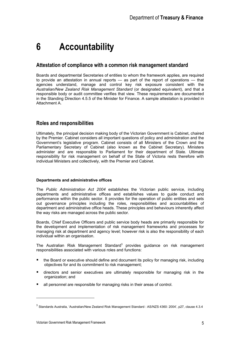# **6 Accountability**

### **Attestation of compliance with a common risk management standard**

Boards and departmental Secretaries of entities to whom the framework applies, are required to provide an attestation in annual reports — as part of the report of operations — that agencies understand, manage and control key risk exposure consistent with the *Australian/New Zealand Risk Management Standard* (or designated equivalent), and that a responsible body or audit committee verifies that view. These requirements are documented in the Standing Direction 4.5.5 of the Minister for Finance. A sample attestation is provided in Attachment A.

### **Roles and responsibilities**

Ultimately, the principal decision making body of the Victorian Government is Cabinet, chaired by the Premier. Cabinet considers all important questions of policy and administration and the Government's legislative program. Cabinet consists of all Ministers of the Crown and the Parliamentary Secretary of Cabinet (also known as the Cabinet Secretary). Ministers administer and are responsible to Parliament for their department of State. Ultimate responsibility for risk management on behalf of the State of Victoria rests therefore with individual Ministers and collectively, with the Premier and Cabinet.

#### **Departments and administrative offices**

The *Public Administration Act 2004* establishes the Victorian public service, including departments and administrative offices and establishes values to guide conduct and performance within the public sector. It provides for the operation of public entities and sets out governance principles including the roles, responsibilities and accountabilities of department and administrative office heads. These principles and behaviours inherently affect the way risks are managed across the public sector.

Boards, Chief Executive Officers and public service body heads are primarily responsible for the development and implementation of risk management frameworks and processes for managing risk at department and agency level; however risk is also the responsibility of each individual within an organisation.

The Australian Risk Management Standard<sup>3</sup> provides guidance on risk management responsibilities associated with various roles and functions:

- the Board or executive should define and document its policy for managing risk, including objectives for and its commitment to risk management;
- directors and senior executives are ultimately responsible for managing risk in the organization; and
- all personnel are responsible for managing risks in their areas of control.

<sup>3</sup> Standards Australia, 'Australian/New Zealand Risk Management Standard : AS/NZS 4360: 2004', p27, clause 4.3.4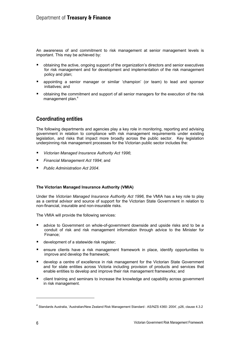An awareness of and commitment to risk management at senior management levels is important. This may be achieved by:

- obtaining the active, ongoing support of the organization's directors and senior executives for risk management and for development and implementation of the risk management policy and plan;
- appointing a senior manager or similar 'champion' (or team) to lead and sponsor initiatives; and
- obtaining the commitment and support of all senior managers for the execution of the risk management plan.<sup>4</sup>

### **Coordinating entities**

The following departments and agencies play a key role in monitoring, reporting and advising government in relation to compliance with risk management requirements under existing legislation, and risks that impact more broadly across the public sector. Key legislation underpinning risk management processes for the Victorian public sector includes the:

- *Victorian Managed Insurance Authority Act 1996*;
- *Financial Management Act 1994*; and
- *Public Administration Act 2004*.

#### **The Victorian Managed Insurance Authority (VMIA)**

Under the *Victorian Managed Insurance Authority Act 1996,* the VMIA has a key role to play as a central advisor and source of support for the Victorian State Government in relation to non-financial, insurable and non-insurable risks.

The VMIA will provide the following services:

- advice to Government on whole-of-government downside and upside risks and to be a conduit of risk and risk management information through advice to the Minister for Finance;
- development of a statewide risk register;
- ensure clients have a risk management framework in place, identify opportunities to improve and develop the framework;
- develop a centre of excellence in risk management for the Victorian State Government and for state entities across Victoria including provision of products and services that enable entities to develop and improve their risk management frameworks; and
- client training and seminars to increase the knowledge and capability across government in risk management.

<sup>4</sup> Standards Australia, 'Australian/New Zealand Risk Management Standard : AS/NZS 4360: 2004', p26, clause 4.3.2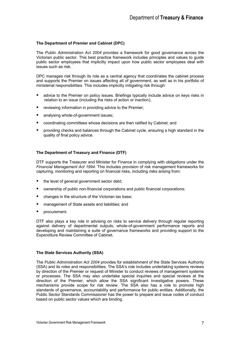#### **The Department of Premier and Cabinet (DPC)**

The *Public Administration Act 2004* provides a framework for good governance across the Victorian public sector. This best practice framework includes principles and values to guide public sector employees that implicitly impact upon how public sector employees deal with issues such as risk.

DPC manages risk through its role as a central agency that coordinates the cabinet process and supports the Premier on issues affecting all of government, as well as in his portfolio of ministerial responsibilities. This includes implicitly mitigating risk through:

- advice to the Premier on policy issues. Briefings typically include advice on keys risks in relation to an issue (including the risks of action or inaction);
- **F** reviewing information in providing advice to the Premier;
- **analysing whole-of-government issues;**
- coordinating committees whose decisions are then ratified by Cabinet; and
- **P** providing checks and balances through the Cabinet cycle, ensuring a high standard in the quality of final policy advice.

#### **The Department of Treasury and Finance (DTF)**

DTF supports the Treasurer and Minister for Finance in complying with obligations under the *Financial Management Act 1994*. This includes provision of risk management frameworks for capturing, monitoring and reporting on financial risks, including risks arising from:

- the level of general government sector debt;
- ownership of public non-financial corporations and public financial corporations;
- changes in the structure of the Victorian tax base;
- management of State assets and liabilities; and
- **P** procurement.

DTF also plays a key role in advising on risks to service delivery through regular reporting against delivery of departmental outputs, whole-of-government performance reports and developing and maintaining a suite of governance frameworks and providing support to the Expenditure Review Committee of Cabinet.

#### **The State Services Authority (SSA)**

The *Public Administration Act 2004* provides for establishment of the State Services Authority (SSA) and its roles and responsibilities. The SSA's role includes undertaking systems reviews by direction of the Premier or request of Minister to conduct reviews of management systems or processes. The SSA may also undertake special inquiries and special reviews at the direction of the Premier, which allow the SSA significant investigative powers. These mechanisms provide scope for risk review. The SSA also has a role to promote high standards of governance, accountability and performance for public entities. Additionally, the Public Sector Standards Commissioner has the power to prepare and issue codes of conduct based on public sector values which are binding.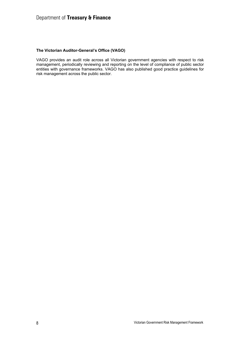### Department of **Treasury & Finance**

#### **The Victorian Auditor-General's Office (VAGO)**

VAGO provides an audit role across all Victorian government agencies with respect to risk management, periodically reviewing and reporting on the level of compliance of public sector entities with governance frameworks. VAGO has also published good practice guidelines for risk management across the public sector.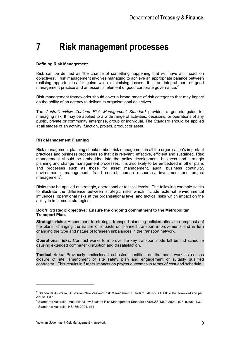# **7 Risk management processes**

#### **Defining Risk Management**

Risk can be defined as 'the chance of something happening that will have an impact on objectives'. 'Risk management involves managing to achieve an appropriate balance between realising opportunities for gains while minimising losses. It is an integral part of good management practice and an essential element of good corporate governance.<sup>55</sup>

Risk management frameworks should cover a broad range of risk categories that may impact on the ability of an agency to deliver its organisational objectives.

The *Australian/New Zealand Risk Management Standard* provides a generic guide for managing risk. It may be applied to a wide range of activities, decisions, or operations of any public, private or community enterprise, group or individual. The Standard should be applied at all stages of an activity, function, project, product or asset.

#### **Risk Management Planning**

Risk management planning should embed risk management in all the organisation's important practices and business processes so that it is relevant, effective, efficient and sustained. Risk management should be embedded into the policy development, business and strategic planning and change management processes. It is also likely to be embedded in other plans and processes such as those for asset management, audit, business continuity, environmental management, fraud control, human resources, investment and project management<sup>6</sup>.

Risks may be applied at strategic, operational or tactical levels<sup>7</sup>. The following example seeks to illustrate the difference between strategic risks which include external environmental influences, operational risks at the organisational level and tactical risks which impact on the ability to implement strategies.

#### **Box 1: Strategic objective: Ensure the ongoing commitment to the Metropolitan Transport Plan.**

**Strategic risks:** Amendment to strategic transport planning policies alters the emphasis of the plans, changing the nature of impacts on planned transport improvements and in turn changing the type and nature of foreseen imbalances in the transport network.

**Operational risks:** Contract works to improve the key transport node fall behind schedule causing extended commuter disruption and dissatisfaction.

**Tactical risks**: Previously undisclosed asbestos identified on the node worksite causes closure of site, amendment of site safety plan and engagement of suitably qualified contractor. This results in further impacts on project outcomes in terms of cost and schedule.

<sup>5</sup> Standards Australia, 'Australian/New Zealand Risk Management Standard : AS/NZS 4360: 2004', foreword and p4, clause 1.3.13

<sup>6</sup> Standards Australia, 'Australian/New Zealand Risk Management Standard : AS/NZS 4360: 2004', p26, clause 4.3.1

<sup>&</sup>lt;sup>7</sup> Standards Australia, HB436: 2004, p14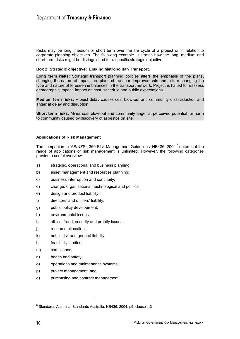Risks may be long, medium or short term over the life cycle of a project or in relation to corporate planning objectives. The following example illustrates how the long, medium and short term risks might be distinguished for a specific strategic objective.

#### **Box 2: Strategic objective: Linking Metropolitan Transport.**

**Long term risks:** Strategic transport planning policies alters the emphasis of the plans, changing the nature of impacts on planned transport improvements and in turn changing the type and nature of foreseen imbalances in the transport network. Project is halted to reassess demographic impact. Impact on cost, schedule and public expectations.

**Medium term risks:** Project delay causes cost blow-out and community dissatisfaction and anger at delay and disruption.

**Short term risks:** Minor cost blow-out and community anger at perceived potential for harm to community caused by discovery of asbestos on site.

#### **Applications of Risk Management**

The companion to 'AS/NZS 4360 Risk Management Guidelines: HB436: 2004<sup>,8</sup> notes that the range of applications of risk management is unlimited. However, the following categories provide a useful overview:

- a) strategic, operational and business planning;
- b) asset management and resources planning;
- c) business interruption and continuity;
- d) change: organisational, technological and political;
- e) design and product liability;
- f) directors' and officers' liability;
- g) public policy development;
- h) environmental issues;
- i) ethics, fraud, security and probity issues;
- j) resource allocation;
- k) public risk and general liability;
- l) feasibility studies;
- m) compliance;
- n) health and safety;
- o) operations and maintenance systems;
- p) project management; and
- q) purchasing and contract management.

<sup>&</sup>lt;sup>8</sup> Standards Australia, Standards Australia, HB436: 2004, p9, clause 1.3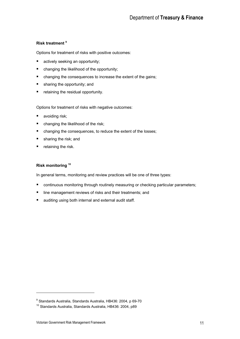#### **Risk treatment 9**

Options for treatment of risks with positive outcomes:

- **actively seeking an opportunity;**
- changing the likelihood of the opportunity;
- **•** changing the consequences to increase the extent of the gains;
- **sharing the opportunity; and**
- **•** retaining the residual opportunity.

Options for treatment of risks with negative outcomes:

- **avoiding risk;**
- changing the likelihood of the risk;
- changing the consequences, to reduce the extent of the losses;
- **sharing the risk; and**
- $\blacksquare$  retaining the risk.

#### **Risk monitoring 10**

In general terms, monitoring and review practices will be one of three types:

- **E** continuous monitoring through routinely measuring or checking particular parameters;
- line management reviews of risks and their treatments; and
- **a** auditing using both internal and external audit staff.

<sup>&</sup>lt;sup>9</sup> Standards Australia, Standards Australia, HB436: 2004, p 69-70

<sup>&</sup>lt;sup>10</sup> Standards Australia, Standards Australia, HB436: 2004, p89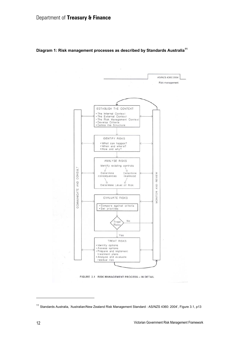

**Diagram 1: Risk management processes as described by Standards Australia<sup>11</sup>**

FIGURE 3.1 RISK MANAGEMENT PROCESS - IN DETAIL

<sup>11</sup> Standards Australia, 'Australian/New Zealand Risk Management Standard : AS/NZS 4360: 2004', Figure 3.1, p13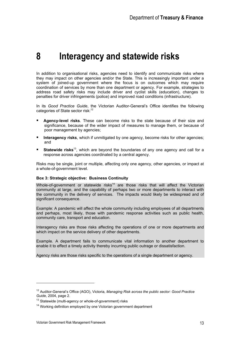# **8 Interagency and statewide risks**

In addition to organisational risks, agencies need to identify and communicate risks where they may impact on other agencies and/or the State. This is increasingly important under a system of joined-up government where the focus is on outcomes which may require coordination of services by more than one department or agency. For example, strategies to address road safety risks may include driver and cyclist skills (education), changes to penalties for driver infringements (police) and improved road conditions (infrastructure).

In its *Good Practice Guide*, the Victorian Auditor-General's Office identifies the following categories of State sector risk:<sup>12</sup>

- **Agency-level risks**. These can become risks to the state because of their size and significance, because of the wider impact of measures to manage them, or because of poor management by agencies;
- **Interagency risks**, which if unmitigated by one agency, become risks for other agencies; and
- **Statewide risks**<sup>13</sup>, which are beyond the boundaries of any one agency and call for a response across agencies coordinated by a central agency.

Risks may be single, joint or multiple, affecting only one agency, other agencies, or impact at a whole-of-government level.

#### **Box 3: Strategic objective: Business Continuity**

Whole-of-government or statewide risks<sup>14</sup> are those risks that will affect the Victorian community at large, and the capability of perhaps two or more departments to interact with the community in the delivery of services. The impacts would likely be widespread and of significant consequence.

Example: A pandemic will affect the whole community including employees of all departments and perhaps, most likely, those with pandemic response activities such as public health, community care, transport and education.

Interagency risks are those risks affecting the operations of one or more departments and which impact on the service delivery of other departments.

Example. A department fails to communicate vital information to another department to enable it to effect a timely activity thereby incurring public outrage or dissatisfaction.

Agency risks are those risks specific to the operations of a single department or agency.

<sup>12</sup> Auditor-General's Office (AGO), Victoria, *Managing Risk across the public sector: Good Practice* 

<sup>&</sup>lt;sup>13</sup> Statewide (multi-agency or whole-of-government) risks<br><sup>14</sup> Working definition employed by one Victorian government department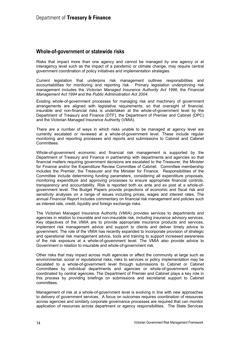### **Whole-of-government or statewide risks**

Risks that impact more than one agency and cannot be managed by one agency or at interagency level such as the impact of a pandemic or climate change, may require central government coordination of policy initiatives and implementation strategies.

Current legislation that underpins risk management outlines responsibilities and accountabilities for monitoring and reporting risk. Primary legislation underpinning risk management includes the *Victorian Managed Insurance Authority Act 1996*, the *Financial Management Act 1994* and the *Public Administration Act 2004*.

Existing whole-of-government processes for managing risk and machinery of government arrangements are aligned with legislative requirements, so that oversight of financial, insurable and non-financial risks is undertaken at the whole-of-government level by the Department of Treasury and Finance (DTF), the Department of Premier and Cabinet (DPC) and the Victorian Managed Insurance Authority (VMIA).

There are a number of ways in which risks unable to be managed at agency level are currently escalated or reviewed at a whole-of-government level. These include regular monitoring and reporting processes and reports and submissions to Cabinet and Cabinet Committees.

Whole-of-government economic and financial risk management is supported by the Department of Treasury and Finance in partnership with departments and agencies so that financial matters requiring government decisions are escalated to the Treasurer, the Minister for Finance and/or the Expenditure Review Committee of Cabinet. Committee membership includes the Premier, the Treasurer and the Minister for Finance. Responsibilities of the Committee include determining funding parameters, considering all expenditure proposals, monitoring expenditure and approving processes to ensure appropriate financial controls, transparency and accountability. Risk is reported both ex ante and ex post at a whole-ofgovernment level. The Budget Papers provide projections of economic and fiscal risk and sensitivity analyses on a range of issues including prices, wages and interest rates. The annual *Financial Report* includes commentary on financial risk management and policies such as interest rate, credit, liquidity and foreign exchange risks.

The Victorian Managed Insurance Authority (VMIA) provides services to departments and agencies in relation to insurable and non-insurable risk, including insurance advisory services. Key objectives of the VMIA are to provide appropriate insurance products and services, implement risk management advice and support to clients and deliver timely advice to government. The role of the VMIA has recently expanded to incorporate provision of strategic and operational risk management advice, tools and training to support increased awareness of the risk exposure at a whole-of-government level. The VMIA also provide advice to Government in relation to insurable and whole-of-government risk.

Other risks that may impact across multi agencies or affect the community at large such as environmental, social or reputational risks, risks to services or policy implementation may be escalated to a whole-of-government level through submissions to Cabinet or Cabinet Committees by individual departments and agencies or whole-of-government reports coordinated by central agencies. The Department of Premier and Cabinet plays a key role in this process by providing briefings on submissions and secretariat support to Cabinet committees.

Management of risk at a whole-of-government level is evolving in line with new approaches to delivery of government services. A focus on outcomes requires coordination of resources across agencies and similarly corporate governance processes are required that can monitor application of resources across department or agency responsibilities. The State Services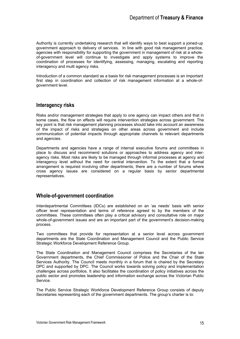Authority is currently undertaking research that will identify ways to best support a joined-up government approach to delivery of services. In line with good risk management practice, agencies with responsibility for supporting the government in management of risk at a wholeof-government level will continue to investigate and apply systems to improve the coordination of processes for identifying, assessing, managing, escalating and reporting interagency and multi agency risks.

Introduction of a common standard as a basis for risk management processes is an important first step in coordination and collection of risk management information at a whole-ofgovernment level.

### **Interagency risks**

Risks and/or management strategies that apply to one agency can impact others and that in some cases, the flow on effects will require intervention strategies across government. The key point is that risk management planning processes should take into account an awareness of the impact of risks and strategies on other areas across government and include communication of potential impacts through appropriate channels to relevant departments and agencies.

Departments and agencies have a range of internal executive forums and committees in place to discuss and recommend solutions or approaches to address agency and interagency risks. Most risks are likely to be managed through informal processes at agency and interagency level without the need for central intervention. To the extent that a formal arrangement is required involving other departments, there are a number of forums where cross agency issues are considered on a regular basis by senior departmental representatives.

### **Whole-of-government coordination**

Interdepartmental Committees (IDCs) are established on an 'as needs' basis with senior officer level representation and terms of reference agreed to by the members of the committees. These committees often play a critical advisory and consultative role on major whole-of-government issues and are an important part of the government's decision-making process.

Two committees that provide for representation at a senior level across government departments are the State Coordination and Management Council and the Public Service Strategic Workforce Development Reference Group.

The State Coordination and Management Council comprises the Secretaries of the ten Government departments, the Chief Commissioner of Police and the Chair of the State Services Authority. The Council meets monthly in a forum that is chaired by the Secretary DPC and supported by DPC. The Council works towards solving policy and implementation challenges across portfolios. It also facilitates the coordination of policy initiatives across the public sector and promotes leadership and information exchange across the Victorian Public Service.

The Public Service Strategic Workforce Development Reference Group consists of deputy Secretaries representing each of the government departments. The group's charter is to: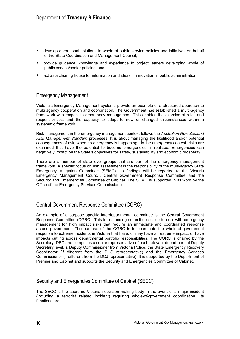- develop operational solutions to whole of public service policies and initiatives on behalf of the State Coordination and Management Council;
- provide guidance, knowledge and experience to project leaders developing whole of public service/sector policies; and
- act as a clearing house for information and ideas in innovation in public administration.

### Emergency Management

Victoria's Emergency Management systems provide an example of a structured approach to multi agency cooperation and coordination. The Government has established a multi-agency framework with respect to emergency management. This enables the exercise of roles and responsibilities, and the capacity to adapt to new or changed circumstances within a systematic framework.

Risk management in the emergency management context follows the *Australian/New Zealand Risk Management Standard* processes. It is about managing the likelihood and/or potential consequences of risk, when no emergency is happening. In the emergency context, risks are examined that have the potential to become emergencies, if realised. Emergencies can negatively impact on the State's objectives for safety, sustainability and economic prosperity.

There are a number of state-level groups that are part of the emergency management framework. A specific focus on risk assessment is the responsibility of the multi-agency State Emergency Mitigation Committee (SEMC). Its findings will be reported to the Victoria Emergency Management Council, Central Government Response Committee and the Security and Emergencies Committee of Cabinet. The SEMC is supported in its work by the Office of the Emergency Services Commissioner.

### Central Government Response Committee (CGRC)

An example of a purpose specific interdepartmental committee is the Central Government Response Committee (CGRC). This is a standing committee set up to deal with emergency management for high impact risks that require an immediate and coordinated response across government. The purpose of the CGRC is to coordinate the whole-of-government response to extreme incidents in Victoria that have, or may have an extreme impact, or have impacts cutting across departmental portfolio responsibilities. The CGRC is chaired by the Secretary, DPC and comprises a senior representative of each relevant department at Deputy Secretary level, a Deputy Commissioner from Victoria Police, the State Emergency Recovery Coordinator (if different from the DHS representative) and the Emergency Services Commissioner (if different from the DOJ representative). It is supported by the Department of Premier and Cabinet and supports the Security and Emergencies Committee of Cabinet.

### Security and Emergencies Committee of Cabinet (SECC)

The SECC is the supreme Victorian decision making body in the event of a major incident (including a terrorist related incident) requiring whole-of-government coordination. Its functions are: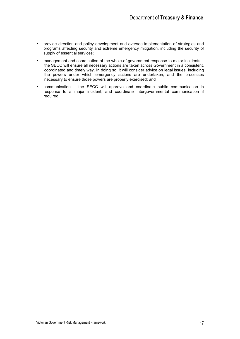- **P** provide direction and policy development and oversee implementation of strategies and programs affecting security and extreme emergency mitigation, including the security of supply of essential services;
- management and coordination of the whole-of-government response to major incidents the SECC will ensure all necessary actions are taken across Government in a consistent, coordinated and timely way. In doing so, it will consider advice on legal issues, including the powers under which emergency actions are undertaken, and the processes necessary to ensure those powers are properly exercised; and
- communication the SECC will approve and coordinate public communication in response to a major incident, and coordinate intergovernmental communication if required.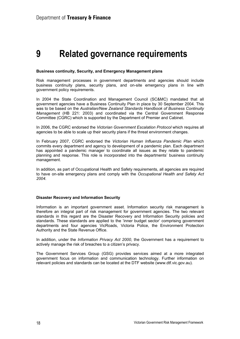## **9 Related governance requirements**

#### **Business continuity, Security, and Emergency Management plans**

Risk management processes in government departments and agencies should include business continuity plans, security plans, and on-site emergency plans in line with government policy requirements.

In 2004 the State Coordination and Management Council (SC&MC) mandated that all government agencies have a Business Continuity Plan in place by 30 September 2004. This was to be based on the *Australian/New Zealand Standards Handbook of Business Continuity Management* (HB 221: 2003) and coordinated via the Central Government Response Committee (CGRC) which is supported by the Department of Premier and Cabinet.

In 2006, the CGRC endorsed the *Victorian Government Escalation Protocol* which requires all agencies to be able to scale up their security plans if the threat environment changes.

In February 2007, CGRC endorsed the *Victorian Human Influenza Pandemic Plan* which commits every department and agency to development of a pandemic plan. Each department has appointed a pandemic manager to coordinate all issues as they relate to pandemic planning and response. This role is incorporated into the departments' business continuity management.

In addition, as part of Occupational Health and Safety requirements, all agencies are required to have on-site emergency plans and comply with the *Occupational Health and Safety Act 2004.* 

#### **Disaster Recovery and Information Security**

Information is an important government asset. Information security risk management is therefore an integral part of risk management for government agencies. The two relevant standards in this regard are the Disaster Recovery and Information Security policies and standards. These standards are applied to the 'inner budget sector' comprising government departments and four agencies VicRoads, Victoria Police, the Environment Protection Authority and the State Revenue Office.

In addition, under the *Information Privacy Act 2000*, the Government has a requirement to actively manage the risk of breaches to a citizen's privacy.

The Government Services Group (GSG) provides services aimed at a more integrated government focus on information and communication technology. Further information on relevant policies and standards can be located at the DTF website (www.dtf.vic.gov.au).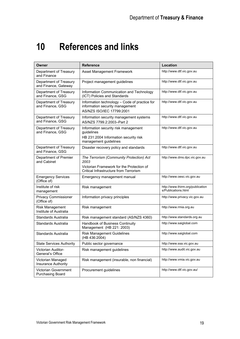# **10 References and links**

| Owner                                          | <b>Reference</b>                                                                                                                        | Location                                                |
|------------------------------------------------|-----------------------------------------------------------------------------------------------------------------------------------------|---------------------------------------------------------|
| Department of Treasury<br>and Finance          | Asset Management Framework                                                                                                              | http://www.dtf.vic.gov.au                               |
| Department of Treasury<br>and Finance, Gateway | Project management guidelines                                                                                                           | http://www.dtf.vic.gov.au                               |
| Department of Treasury<br>and Finance, GSG     | Information Communication and Technology<br>(ICT) Policies and Standards                                                                | http://www.dtf.vic.gov.au                               |
| Department of Treasury<br>and Finance, GSG     | Information technology - Code of practice for<br>information security management<br>AS/NZS ISO/IEC 17799:2001                           | http://www.dtf.vic.gov.au                               |
| Department of Treasury<br>and Finance, GSG     | Information security management systems<br>AS/NZS 7799.2:2003-Part 2                                                                    | http://www.dtf.vic.gov.au                               |
| Department of Treasury<br>and Finance, GSG     | Information security risk management<br>guidelines<br>HB 231:2004 Information security risk<br>management guidelines                    | http://www.dtf.vic.gov.au                               |
| Department of Treasury<br>and Finance, GSG     | Disaster recovery policy and standards                                                                                                  | http://www.dtf.vic.gov.au                               |
| Department of Premier<br>and Cabinet           | The Terrorism (Community Protection) Act<br>2003<br>Victorian Framework for the Protection of<br>Critical Infrastructure from Terrorism | http://www.dms.dpc.vic.gov.au                           |
| <b>Emergency Services</b><br>(Office of)       | Emergency management manual                                                                                                             | http://www.oesc.vic.gov.au                              |
| Institute of risk<br>management                | Risk management                                                                                                                         | http://www.thirm.org/publication<br>s/Publications.html |
| Privacy Commissioner<br>(Office of)            | Information privacy principles                                                                                                          | http://www.privacy.vic.gov.au                           |
| Risk Management<br>Institute of Australia      | Risk management                                                                                                                         | http://www.rmia.org.au                                  |
| Standards Australia                            | Risk management standard (AS/NZS 4360)                                                                                                  | http://www.standards.org.au                             |
| Standards Australia                            | Handbook of Business Continuity<br>Management (HB 221: 2003)                                                                            | http://www.saiglobal.com                                |
| Standards Australia                            | <b>Risk Management Guidelines</b><br>(HB 436:2004)                                                                                      | http://www.saiglobal.com                                |
| <b>State Services Authority</b>                | Public sector governance                                                                                                                | http://www.ssa.vic.gov.au                               |
| Victorian Auditor-<br>General's Office         | Risk management guidelines                                                                                                              | http://www.audit.vic.gov.au                             |
| Victorian Managed<br>Insurance Authority       | Risk management (insurable, non financial)                                                                                              | http://www.vmia.vic.gov.au                              |
| Victorian Government<br>Purchasing Board       | Procurement guidelines                                                                                                                  | http://www.dtf.vic.gov.au/                              |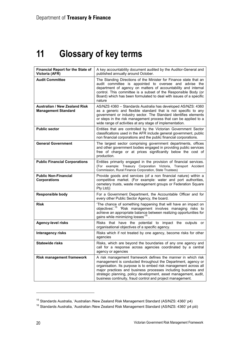# **11 Glossary of key terms**

| <b>Financial Report for the State of</b><br>Victoria (AFR)         | A key accountability document audited by the Auditor-General and<br>published annually around October.                                                                                                                                                                                                                                                                                              |
|--------------------------------------------------------------------|-----------------------------------------------------------------------------------------------------------------------------------------------------------------------------------------------------------------------------------------------------------------------------------------------------------------------------------------------------------------------------------------------------|
| <b>Audit Committee</b>                                             | The Standing Directions of the Minister for Finance state that an<br>audit committee is appointed to oversee and advise the<br>department of agency on matters of accountability and internal<br>control. This committee is a subset of the Responsible Body (or<br>Board) which has been formulated to deal with issues of a specific<br>nature                                                    |
| <b>Australian / New Zealand Risk</b><br><b>Management Standard</b> | AS/NZS 4360 - Standards Australia has developed AS/NZS: 4360<br>as a generic and flexible standard that is not specific to any<br>government or industry sector. The Standard identifies elements<br>or steps in the risk management process that can be applied to a<br>wide range of activities at any stage of implementation.                                                                   |
| <b>Public sector</b>                                               | Entities that are controlled by the Victorian Government Sector<br>classifications used in the AFR include general government, public<br>non financial corporations and the public financial corporations.                                                                                                                                                                                          |
| <b>General Government</b>                                          | The largest sector comprising government departments, offices<br>and other government bodies engaged in providing public services<br>free of charge or at prices significantly below the cost of<br>production.                                                                                                                                                                                     |
| <b>Public Financial Corporations</b>                               | Entities primarily engaged in the provision of financial services.<br>(For example: Treasury Corporation Victoria, Transport Accident<br>Commission, Rural Finance Corporation, State Trustees)                                                                                                                                                                                                     |
| <b>Public Non-Financial</b><br><b>Corporations</b>                 | Provide goods and services (of a non financial nature) within a<br>competitive market. (For example: water and port authorities,<br>cemetery trusts, waste management groups or Federation Square<br>Pty Ltd))                                                                                                                                                                                      |
| <b>Responsible body</b>                                            | For a Government Department, the Accountable Officer and for<br>every other Public Sector Agency, the board.                                                                                                                                                                                                                                                                                        |
| <b>Risk</b>                                                        | 'The chance of something happening that will have an impact on<br>objectives'. <sup>15</sup> 'Risk management involves managing risks to<br>achieve an appropriate balance between realizing opportunities for<br>gains while minimizing losses <sup>16</sup>                                                                                                                                       |
| <b>Agency-level risks</b>                                          | Risks that have the potential to impact the outputs or<br>organisational objectives of a specific agency.                                                                                                                                                                                                                                                                                           |
| <b>Interagency risks</b>                                           | Risks which if not treated by one agency, become risks for other<br>agencies                                                                                                                                                                                                                                                                                                                        |
| <b>Statewide risks</b>                                             | Risks, which are beyond the boundaries of any one agency and<br>call for a response across agencies coordinated by a central<br>agency or agencies                                                                                                                                                                                                                                                  |
| <b>Risk management framework</b>                                   | A risk management framework defines the manner in which risk<br>management is conducted throughout the Department, agency or<br>organisation. Its purpose is to embed risk management across all<br>major practices and business processes including business and<br>strategic planning, policy development, asset management, audit,<br>business continuity, fraud control and project management. |

<sup>&</sup>lt;sup>15</sup> Standards Australia, 'Australian /New Zealand Risk Management Standard (AS/NZS: 4360' p4)<br><sup>16</sup> Standards Australia, 'Australian /New Zealand Risk Management Standard (AS/NZS: 4360' p4 piii)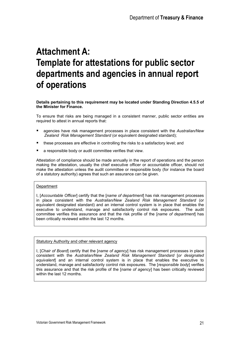# **Attachment A: Template for attestations for public sector departments and agencies in annual report of operations**

**Details pertaining to this requirement may be located under Standing Direction 4.5.5 of the Minister for Finance.** 

To ensure that risks are being managed in a consistent manner, public sector entities are required to attest in annual reports that:

- agencies have risk management processes in place consistent with the *Australian/New Zealand Risk Management Standard* (or equivalent designated standard);
- these processes are effective in controlling the risks to a satisfactory level; and
- a responsible body or audit committee verifies that view.

Attestation of compliance should be made annually in the report of operations and the person making the attestation, usually the chief executive officer or accountable officer, should not make the attestation unless the audit committee or responsible body (for instance the board of a statutory authority) agrees that such an assurance can be given.

#### **Department**

I, [*Accountable Officer*] certify that the [*name of department*] has risk management processes in place consistent with the *Australian/New Zealand Risk Management Standard* (or equivalent designated standard) and an internal control system is in place that enables the executive to understand, manage and satisfactorily control risk exposures. The audit committee verifies this assurance and that the risk profile of the [*name of department*] has been critically reviewed within the last 12 months.

#### Statutory Authority and other relevant agency

I, [*Chair of Board*] certify that the [*name of agency*] has risk management processes in place consistent with the *Australian/New Zealand Risk Management Standard* [*or designated equivalent*] and an internal control system is in place that enables the executive to understand, manage and satisfactorily control risk exposures. The [*responsible body*] verifies this assurance and that the risk profile of the [*name of agency*] has been critically reviewed within the last 12 months.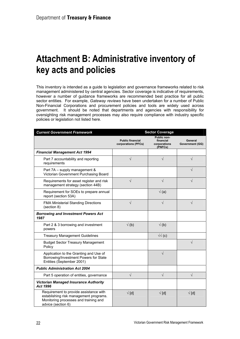## **Attachment B: Administrative inventory of key acts and policies**

This inventory is intended as a guide to legislation and governance frameworks related to risk management administered by central agencies. Sector coverage is indicative of requirements, however a number of guidance frameworks are recommended best practice for all public sector entities. For example, *Gateway reviews* have been undertaken for a number of Public Non-Financial Corporations and procurement policies and tools are widely used across government. It should be noted that departments and agencies with responsibility for oversighting risk management processes may also require compliance with industry specific policies or legislation not listed here.

| <b>Current Government Framework</b>                                                                                                             | <b>Sector Coverage</b>                         |                                                     |                                   |
|-------------------------------------------------------------------------------------------------------------------------------------------------|------------------------------------------------|-----------------------------------------------------|-----------------------------------|
|                                                                                                                                                 | <b>Public financial</b><br>corporations (PFCs) | Public non-<br>financial<br>corporations<br>(PNFCs) | General<br><b>Government (GG)</b> |
| <b>Financial Management Act 1994</b>                                                                                                            |                                                |                                                     |                                   |
| Part 7 accountability and reporting<br>requirements                                                                                             | $\sqrt{}$                                      | $\sqrt{}$                                           | $\sqrt{}$                         |
| Part 7A - supply management &<br>Victorian Government Purchasing Board                                                                          |                                                |                                                     | $\sqrt{}$                         |
| Requirements for asset register and risk<br>management strategy (section 44B)                                                                   | J                                              | J                                                   | $\sqrt{}$                         |
| Requirement for SOEs to prepare annual<br>report (section 53A)                                                                                  |                                                | $\sqrt(a)$                                          |                                   |
| <b>FMA Ministerial Standing Directions</b><br>(section 8)                                                                                       | $\sqrt{}$                                      | $\sqrt{}$                                           | $\sqrt{}$                         |
| <b>Borrowing and Investment Powers Act</b><br>1987                                                                                              |                                                |                                                     |                                   |
| Part 2 & 3 borrowing and investment<br>powers                                                                                                   | $\sqrt(b)$                                     | $\sqrt(b)$                                          |                                   |
| <b>Treasury Management Guidelines</b>                                                                                                           |                                                | $\sqrt{v}$ (c)                                      |                                   |
| <b>Budget Sector Treasury Management</b><br>Policy                                                                                              |                                                |                                                     | $\sqrt{}$                         |
| Application to the Granting and Use of<br>Borrowing/Investment Powers for State<br>Entities (September 2001)                                    |                                                | $\sqrt{}$                                           |                                   |
| <b>Public Administration Act 2004</b>                                                                                                           |                                                |                                                     |                                   |
| Part 5 operation of entities, governance                                                                                                        | $\sqrt{}$                                      | $\sqrt{}$                                           | $\sqrt{}$                         |
| <b>Victorian Managed Insurance Authority</b><br>Act 1996                                                                                        |                                                |                                                     |                                   |
| Requirement to provide assistance with<br>establishing risk management programs.<br>Monitoring processes and training and<br>advice (section 6) | $\sqrt{\text{d}}$                              | $\sqrt{\text{d}}$                                   | $\sqrt{\text{d}}$                 |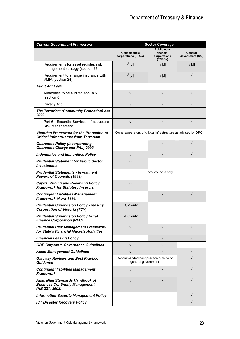| <b>Current Government Framework</b>                                                         | <b>Sector Coverage</b>                                         |                                                     |                            |
|---------------------------------------------------------------------------------------------|----------------------------------------------------------------|-----------------------------------------------------|----------------------------|
|                                                                                             | <b>Public financial</b><br>corporations (PFCs)                 | Public non-<br>financial<br>corporations<br>(PNFCs) | General<br>Government (GG) |
| Requirements for asset register, risk<br>management strategy (section 23)                   | $\sqrt{\text{d}}$                                              | $\sqrt{\text{d}}$                                   | $\sqrt{\text{d}}$          |
| Requirement to arrange insurance with<br>VMIA (section 24)                                  | $\sqrt{\text{d}}$                                              | $\sqrt{\text{d}}$                                   | √                          |
| <b>Audit Act 1994</b>                                                                       |                                                                |                                                     |                            |
| Authorities to be audited annually<br>(section 8)                                           | $\sqrt{}$                                                      | $\sqrt{}$                                           | $\sqrt{}$                  |
| Privacy Act                                                                                 | $\sqrt{}$                                                      | $\sqrt{}$                                           | $\sqrt{}$                  |
| <b>The Terrorism (Community Protection) Act</b><br>2003                                     |                                                                |                                                     |                            |
| Part 6—Essential Services Infrastructure<br><b>Risk Management</b>                          | $\sqrt{}$                                                      | $\sqrt{}$                                           | $\sqrt{}$                  |
| Victorian Framework for the Protection of<br><b>Critical Infrastructure from Terrorism</b>  | Owners/operators of critical infrastructure as advised by DPC. |                                                     |                            |
| <b>Guarantee Policy (incorporating</b><br><b>Guarantee Charge and FAL) 2003</b>             |                                                                | $\sqrt{}$                                           | $\sqrt{}$                  |
| <b>Indemnities and Immunities Policy</b>                                                    | $\sqrt{}$                                                      | $\sqrt{}$                                           | $\sqrt{}$                  |
| <b>Prudential Statement for Public Sector</b><br><b>Investments</b>                         | $\sqrt{2}$                                                     |                                                     |                            |
| <b>Prudential Statements - Investment</b><br><b>Powers of Councils (1998)</b>               | Local councils only                                            |                                                     |                            |
| <b>Capital Pricing and Reserving Policy</b><br><b>Framework for Statutory Insurers</b>      | $\sqrt{v}$                                                     |                                                     |                            |
| <b>Contingent Liabilities Management</b><br>Framework (April 1998)                          |                                                                | $\sqrt{}$                                           | $\sqrt{}$                  |
| <b>Prudential Supervision Policy Treasury</b><br><b>Corporation of Victoria (TCV)</b>       | <b>TCV only</b>                                                |                                                     |                            |
| <b>Prudential Supervision Policy Rural</b><br><b>Finance Corporation (RFC)</b>              | RFC only                                                       |                                                     |                            |
| <b>Prudential Risk Management Framework</b><br>for State's Financial Markets Activities     |                                                                |                                                     |                            |
| <b>Financial Leasing Policy</b>                                                             |                                                                | $\sqrt{}$                                           | $\sqrt{}$                  |
| <b>GBE Corporate Governance Guidelines</b>                                                  | V                                                              |                                                     |                            |
| <b>Asset Management Guidelines</b>                                                          |                                                                |                                                     | $\sqrt{}$                  |
| <b>Gateway Reviews and Best Practice</b><br><b>Guidance</b>                                 | Recommended best practice outside of<br>general government     |                                                     | V                          |
| <b>Contingent liabilities Management</b><br><b>Framework</b>                                |                                                                |                                                     | $\sqrt{}$                  |
| Australian Standards Handbook of<br><b>Business Continuity Management</b><br>(HB 221: 2003) |                                                                |                                                     |                            |
| <b>Information Security Management Policy</b>                                               |                                                                |                                                     | $\sqrt{}$                  |
| <b>ICT Disaster Recovery Policy</b>                                                         |                                                                |                                                     | $\sqrt{}$                  |